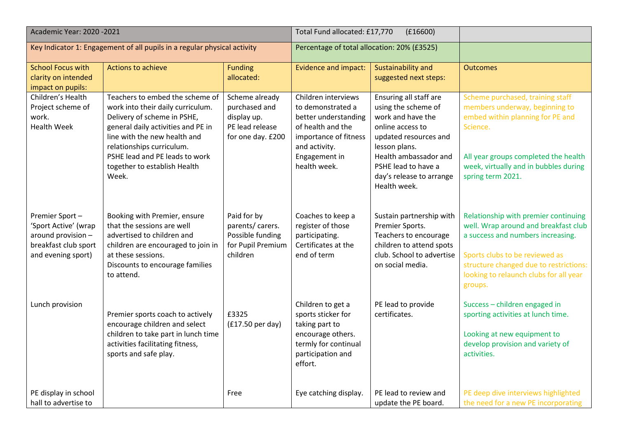| Academic Year: 2020 - 2021                                                                                 |                                                                                                                                                                                                                                                                                   | Total Fund allocated: £17,770<br>(E16600)                                              |                                                                                                                                                                  |                                                                                                                                                                                                                              |                                                                                                                                                                                                                                                    |
|------------------------------------------------------------------------------------------------------------|-----------------------------------------------------------------------------------------------------------------------------------------------------------------------------------------------------------------------------------------------------------------------------------|----------------------------------------------------------------------------------------|------------------------------------------------------------------------------------------------------------------------------------------------------------------|------------------------------------------------------------------------------------------------------------------------------------------------------------------------------------------------------------------------------|----------------------------------------------------------------------------------------------------------------------------------------------------------------------------------------------------------------------------------------------------|
| Key Indicator 1: Engagement of all pupils in a regular physical activity                                   |                                                                                                                                                                                                                                                                                   | Percentage of total allocation: 20% (£3525)                                            |                                                                                                                                                                  |                                                                                                                                                                                                                              |                                                                                                                                                                                                                                                    |
| <b>School Focus with</b><br>clarity on intended<br>impact on pupils:                                       | Actions to achieve                                                                                                                                                                                                                                                                | <b>Funding</b><br>allocated:                                                           | <b>Evidence and impact:</b>                                                                                                                                      | <b>Sustainability and</b><br>suggested next steps:                                                                                                                                                                           | <b>Outcomes</b>                                                                                                                                                                                                                                    |
| Children's Health<br>Project scheme of<br>work.<br><b>Health Week</b>                                      | Teachers to embed the scheme of<br>work into their daily curriculum.<br>Delivery of scheme in PSHE,<br>general daily activities and PE in<br>line with the new health and<br>relationships curriculum.<br>PSHE lead and PE leads to work<br>together to establish Health<br>Week. | Scheme already<br>purchased and<br>display up.<br>PE lead release<br>for one day. £200 | Children interviews<br>to demonstrated a<br>better understanding<br>of health and the<br>importance of fitness<br>and activity.<br>Engagement in<br>health week. | Ensuring all staff are<br>using the scheme of<br>work and have the<br>online access to<br>updated resources and<br>lesson plans.<br>Health ambassador and<br>PSHE lead to have a<br>day's release to arrange<br>Health week. | Scheme purchased, training staff<br>members underway, beginning to<br>embed within planning for PE and<br>Science.<br>All year groups completed the health<br>week, virtually and in bubbles during<br>spring term 2021.                           |
| Premier Sport-<br>'Sport Active' (wrap<br>around provision -<br>breakfast club sport<br>and evening sport) | Booking with Premier, ensure<br>that the sessions are well<br>advertised to children and<br>children are encouraged to join in<br>at these sessions.<br>Discounts to encourage families<br>to attend.                                                                             | Paid for by<br>parents/ carers.<br>Possible funding<br>for Pupil Premium<br>children   | Coaches to keep a<br>register of those<br>participating.<br>Certificates at the<br>end of term                                                                   | Sustain partnership with<br>Premier Sports.<br>Teachers to encourage<br>children to attend spots<br>club. School to advertise<br>on social media.                                                                            | Relationship with premier continuing<br>well. Wrap around and breakfast club<br>a success and numbers increasing.<br>Sports clubs to be reviewed as<br>structure changed due to restrictions:<br>looking to relaunch clubs for all year<br>groups. |
| Lunch provision                                                                                            | Premier sports coach to actively<br>encourage children and select<br>children to take part in lunch time<br>activities facilitating fitness,<br>sports and safe play.                                                                                                             | £3325<br>$(f17.50 \text{ per day})$                                                    | Children to get a<br>sports sticker for<br>taking part to<br>encourage others.<br>termly for continual<br>participation and<br>effort.                           | PE lead to provide<br>certificates.                                                                                                                                                                                          | Success - children engaged in<br>sporting activities at lunch time.<br>Looking at new equipment to<br>develop provision and variety of<br>activities.                                                                                              |
| PE display in school<br>hall to advertise to                                                               |                                                                                                                                                                                                                                                                                   | Free                                                                                   | Eye catching display.                                                                                                                                            | PE lead to review and<br>update the PE board.                                                                                                                                                                                | PE deep dive interviews highlighted<br>the need for a new PE incorporating                                                                                                                                                                         |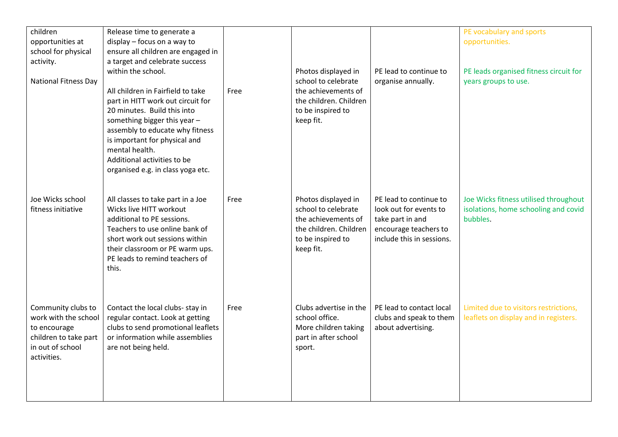| children<br>opportunities at<br>school for physical<br>activity.<br><b>National Fitness Day</b>                        | Release time to generate a<br>display - focus on a way to<br>ensure all children are engaged in<br>a target and celebrate success<br>within the school.<br>All children in Fairfield to take<br>part in HITT work out circuit for<br>20 minutes. Build this into<br>something bigger this year -<br>assembly to educate why fitness<br>is important for physical and<br>mental health.<br>Additional activities to be<br>organised e.g. in class yoga etc. | Free | Photos displayed in<br>school to celebrate<br>the achievements of<br>the children. Children<br>to be inspired to<br>keep fit. | PE lead to continue to<br>organise annually.                                                                               | PE vocabulary and sports<br>opportunities.<br>PE leads organised fitness circuit for<br>years groups to use. |
|------------------------------------------------------------------------------------------------------------------------|------------------------------------------------------------------------------------------------------------------------------------------------------------------------------------------------------------------------------------------------------------------------------------------------------------------------------------------------------------------------------------------------------------------------------------------------------------|------|-------------------------------------------------------------------------------------------------------------------------------|----------------------------------------------------------------------------------------------------------------------------|--------------------------------------------------------------------------------------------------------------|
| Joe Wicks school<br>fitness initiative                                                                                 | All classes to take part in a Joe<br>Wicks live HITT workout<br>additional to PE sessions.<br>Teachers to use online bank of<br>short work out sessions within<br>their classroom or PE warm ups.<br>PE leads to remind teachers of<br>this.                                                                                                                                                                                                               | Free | Photos displayed in<br>school to celebrate<br>the achievements of<br>the children. Children<br>to be inspired to<br>keep fit. | PE lead to continue to<br>look out for events to<br>take part in and<br>encourage teachers to<br>include this in sessions. | Joe Wicks fitness utilised throughout<br>isolations, home schooling and covid<br>bubbles.                    |
| Community clubs to<br>work with the school<br>to encourage<br>children to take part<br>in out of school<br>activities. | Contact the local clubs- stay in<br>regular contact. Look at getting<br>clubs to send promotional leaflets<br>or information while assemblies<br>are not being held.                                                                                                                                                                                                                                                                                       | Free | Clubs advertise in the<br>school office.<br>More children taking<br>part in after school<br>sport.                            | PE lead to contact local<br>clubs and speak to them<br>about advertising.                                                  | Limited due to visitors restrictions,<br>leaflets on display and in registers.                               |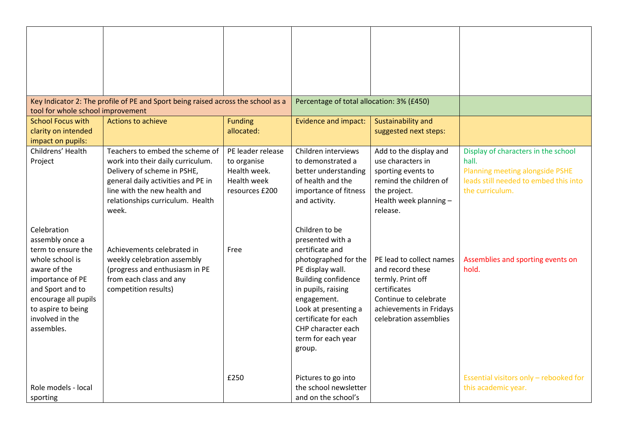|                                                                                                                                                                                                                | Key Indicator 2: The profile of PE and Sport being raised across the school as a                                                                                                                                       |                                                                                          | Percentage of total allocation: 3% (£450)                                                                                                                                                                                                                                  |                                                                                                                                                                 |                                                                                                                                             |
|----------------------------------------------------------------------------------------------------------------------------------------------------------------------------------------------------------------|------------------------------------------------------------------------------------------------------------------------------------------------------------------------------------------------------------------------|------------------------------------------------------------------------------------------|----------------------------------------------------------------------------------------------------------------------------------------------------------------------------------------------------------------------------------------------------------------------------|-----------------------------------------------------------------------------------------------------------------------------------------------------------------|---------------------------------------------------------------------------------------------------------------------------------------------|
| tool for whole school improvement                                                                                                                                                                              |                                                                                                                                                                                                                        |                                                                                          |                                                                                                                                                                                                                                                                            |                                                                                                                                                                 |                                                                                                                                             |
| <b>School Focus with</b><br>clarity on intended<br>impact on pupils:                                                                                                                                           | <b>Actions to achieve</b>                                                                                                                                                                                              | <b>Funding</b><br>allocated:                                                             | Evidence and impact:                                                                                                                                                                                                                                                       | Sustainability and<br>suggested next steps:                                                                                                                     |                                                                                                                                             |
| Childrens' Health<br>Project                                                                                                                                                                                   | Teachers to embed the scheme of<br>work into their daily curriculum.<br>Delivery of scheme in PSHE,<br>general daily activities and PE in<br>line with the new health and<br>relationships curriculum. Health<br>week. | PE leader release<br>to organise<br>Health week.<br><b>Health week</b><br>resources £200 | Children interviews<br>to demonstrated a<br>better understanding<br>of health and the<br>importance of fitness<br>and activity.                                                                                                                                            | Add to the display and<br>use characters in<br>sporting events to<br>remind the children of<br>the project.<br>Health week planning -<br>release.               | Display of characters in the school<br>hall.<br>Planning meeting alongside PSHE<br>leads still needed to embed this into<br>the curriculum. |
| Celebration<br>assembly once a<br>term to ensure the<br>whole school is<br>aware of the<br>importance of PE<br>and Sport and to<br>encourage all pupils<br>to aspire to being<br>involved in the<br>assembles. | Achievements celebrated in<br>weekly celebration assembly<br>(progress and enthusiasm in PE<br>from each class and any<br>competition results)                                                                         | Free                                                                                     | Children to be<br>presented with a<br>certificate and<br>photographed for the<br>PE display wall.<br><b>Building confidence</b><br>in pupils, raising<br>engagement.<br>Look at presenting a<br>certificate for each<br>CHP character each<br>term for each year<br>group. | PE lead to collect names<br>and record these<br>termly. Print off<br>certificates<br>Continue to celebrate<br>achievements in Fridays<br>celebration assemblies | Assemblies and sporting events on<br>hold.                                                                                                  |
| Role models - local<br>sporting                                                                                                                                                                                |                                                                                                                                                                                                                        | £250                                                                                     | Pictures to go into<br>the school newsletter<br>and on the school's                                                                                                                                                                                                        |                                                                                                                                                                 | Essential visitors only - rebooked for<br>this academic year.                                                                               |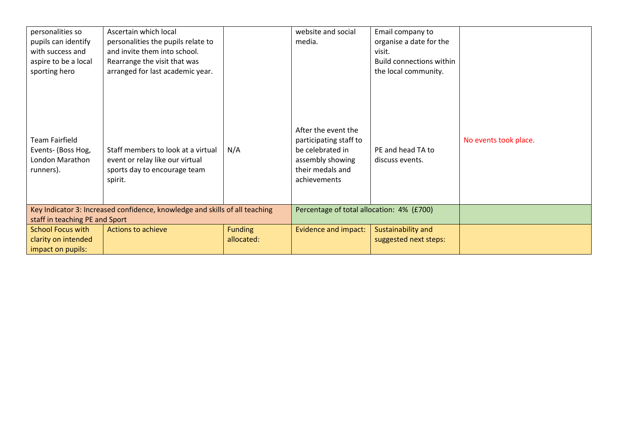| personalities so                                                            | Ascertain which local                                                                                            |                | website and social                                                                                                        | Email company to                     |                       |
|-----------------------------------------------------------------------------|------------------------------------------------------------------------------------------------------------------|----------------|---------------------------------------------------------------------------------------------------------------------------|--------------------------------------|-----------------------|
| pupils can identify                                                         | personalities the pupils relate to                                                                               |                | media.                                                                                                                    | organise a date for the              |                       |
| with success and                                                            | and invite them into school.                                                                                     |                |                                                                                                                           | visit.                               |                       |
| aspire to be a local                                                        | Rearrange the visit that was                                                                                     |                |                                                                                                                           | <b>Build connections within</b>      |                       |
| sporting hero                                                               | arranged for last academic year.                                                                                 |                |                                                                                                                           | the local community.                 |                       |
| <b>Team Fairfield</b><br>Events- (Boss Hog,<br>London Marathon<br>runners). | Staff members to look at a virtual<br>event or relay like our virtual<br>sports day to encourage team<br>spirit. | N/A            | After the event the<br>participating staff to<br>be celebrated in<br>assembly showing<br>their medals and<br>achievements | PE and head TA to<br>discuss events. | No events took place. |
|                                                                             | Key Indicator 3: Increased confidence, knowledge and skills of all teaching                                      |                | Percentage of total allocation: 4% (£700)                                                                                 |                                      |                       |
| staff in teaching PE and Sport                                              |                                                                                                                  |                |                                                                                                                           |                                      |                       |
| <b>School Focus with</b>                                                    | <b>Actions to achieve</b>                                                                                        | <b>Funding</b> | <b>Evidence and impact:</b>                                                                                               | Sustainability and                   |                       |
| clarity on intended                                                         |                                                                                                                  | allocated:     |                                                                                                                           | suggested next steps:                |                       |
| impact on pupils:                                                           |                                                                                                                  |                |                                                                                                                           |                                      |                       |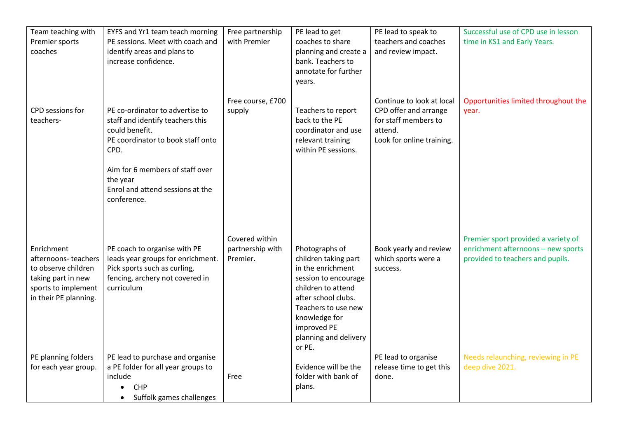| Team teaching with<br>Premier sports<br>coaches                                                                                | EYFS and Yr1 team teach morning<br>PE sessions. Meet with coach and<br>identify areas and plans to<br>increase confidence.                                                                                                           | Free partnership<br>with Premier               | PE lead to get<br>coaches to share<br>planning and create a<br>bank. Teachers to<br>annotate for further<br>years.                                                                                                         | PE lead to speak to<br>teachers and coaches<br>and review impact.                                                  | Successful use of CPD use in lesson<br>time in KS1 and Early Years.                                           |
|--------------------------------------------------------------------------------------------------------------------------------|--------------------------------------------------------------------------------------------------------------------------------------------------------------------------------------------------------------------------------------|------------------------------------------------|----------------------------------------------------------------------------------------------------------------------------------------------------------------------------------------------------------------------------|--------------------------------------------------------------------------------------------------------------------|---------------------------------------------------------------------------------------------------------------|
| CPD sessions for<br>teachers-                                                                                                  | PE co-ordinator to advertise to<br>staff and identify teachers this<br>could benefit.<br>PE coordinator to book staff onto<br>CPD.<br>Aim for 6 members of staff over<br>the year<br>Enrol and attend sessions at the<br>conference. | Free course, £700<br>supply                    | Teachers to report<br>back to the PE<br>coordinator and use<br>relevant training<br>within PE sessions.                                                                                                                    | Continue to look at local<br>CPD offer and arrange<br>for staff members to<br>attend.<br>Look for online training. | Opportunities limited throughout the<br>vear.                                                                 |
| Enrichment<br>afternoons-teachers<br>to observe children<br>taking part in new<br>sports to implement<br>in their PE planning. | PE coach to organise with PE<br>leads year groups for enrichment.<br>Pick sports such as curling,<br>fencing, archery not covered in<br>curriculum                                                                                   | Covered within<br>partnership with<br>Premier. | Photographs of<br>children taking part<br>in the enrichment<br>session to encourage<br>children to attend<br>after school clubs.<br>Teachers to use new<br>knowledge for<br>improved PE<br>planning and delivery<br>or PE. | Book yearly and review<br>which sports were a<br>success.                                                          | Premier sport provided a variety of<br>enrichment afternoons - new sports<br>provided to teachers and pupils. |
| PE planning folders<br>for each year group.                                                                                    | PE lead to purchase and organise<br>a PE folder for all year groups to<br>include<br><b>CHP</b><br>Suffolk games challenges<br>$\bullet$                                                                                             | Free                                           | Evidence will be the<br>folder with bank of<br>plans.                                                                                                                                                                      | PE lead to organise<br>release time to get this<br>done.                                                           | Needs relaunching, reviewing in PE<br>deep dive 2021.                                                         |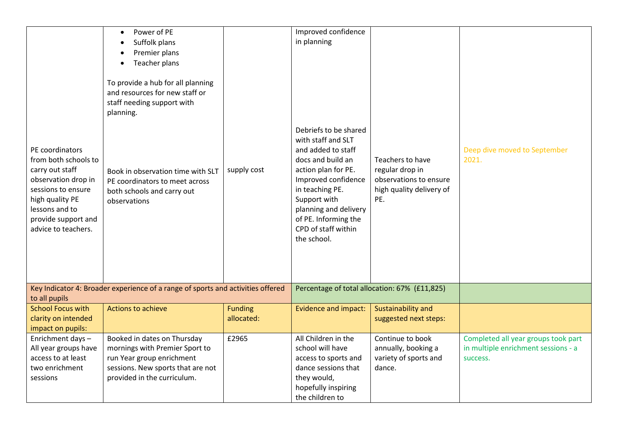|                                                                                                                                                                                            | Power of PE<br>Suffolk plans<br>Premier plans<br>Teacher plans<br>$\bullet$                                                                                    |                              | Improved confidence<br>in planning                                                                                                                                                                                                                             |                                                                                                  |                                                                                        |
|--------------------------------------------------------------------------------------------------------------------------------------------------------------------------------------------|----------------------------------------------------------------------------------------------------------------------------------------------------------------|------------------------------|----------------------------------------------------------------------------------------------------------------------------------------------------------------------------------------------------------------------------------------------------------------|--------------------------------------------------------------------------------------------------|----------------------------------------------------------------------------------------|
|                                                                                                                                                                                            | To provide a hub for all planning<br>and resources for new staff or<br>staff needing support with<br>planning.                                                 |                              |                                                                                                                                                                                                                                                                |                                                                                                  |                                                                                        |
| PE coordinators<br>from both schools to<br>carry out staff<br>observation drop in<br>sessions to ensure<br>high quality PE<br>lessons and to<br>provide support and<br>advice to teachers. | Book in observation time with SLT<br>PE coordinators to meet across<br>both schools and carry out<br>observations                                              | supply cost                  | Debriefs to be shared<br>with staff and SLT<br>and added to staff<br>docs and build an<br>action plan for PE.<br>Improved confidence<br>in teaching PE.<br>Support with<br>planning and delivery<br>of PE. Informing the<br>CPD of staff within<br>the school. | Teachers to have<br>regular drop in<br>observations to ensure<br>high quality delivery of<br>PE. | Deep dive moved to September<br>2021.                                                  |
|                                                                                                                                                                                            | Key Indicator 4: Broader experience of a range of sports and activities offered                                                                                |                              |                                                                                                                                                                                                                                                                | Percentage of total allocation: 67% (£11,825)                                                    |                                                                                        |
| to all pupils                                                                                                                                                                              | Actions to achieve                                                                                                                                             |                              |                                                                                                                                                                                                                                                                |                                                                                                  |                                                                                        |
| <b>School Focus with</b><br>clarity on intended                                                                                                                                            |                                                                                                                                                                | <b>Funding</b><br>allocated: | <b>Evidence and impact:</b>                                                                                                                                                                                                                                    | Sustainability and<br>suggested next steps:                                                      |                                                                                        |
| impact on pupils:                                                                                                                                                                          |                                                                                                                                                                |                              |                                                                                                                                                                                                                                                                |                                                                                                  |                                                                                        |
| Enrichment days-<br>All year groups have<br>access to at least<br>two enrichment<br>sessions                                                                                               | Booked in dates on Thursday<br>mornings with Premier Sport to<br>run Year group enrichment<br>sessions. New sports that are not<br>provided in the curriculum. | £2965                        | All Children in the<br>school will have<br>access to sports and<br>dance sessions that<br>they would,<br>hopefully inspiring<br>the children to                                                                                                                | Continue to book<br>annually, booking a<br>variety of sports and<br>dance.                       | Completed all year groups took part<br>in multiple enrichment sessions - a<br>success. |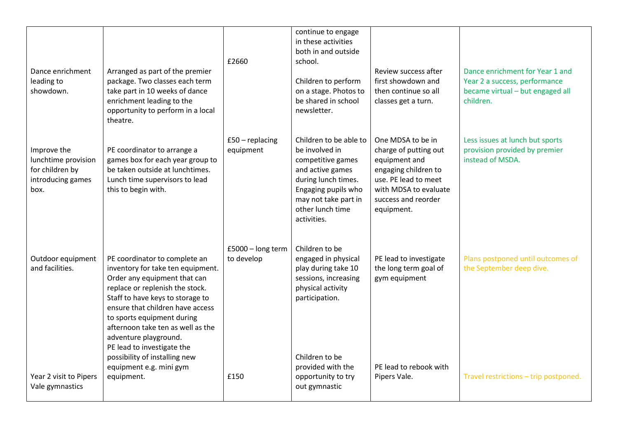| Dance enrichment<br>leading to<br>showdown.                                        | Arranged as part of the premier<br>package. Two classes each term<br>take part in 10 weeks of dance<br>enrichment leading to the<br>opportunity to perform in a local<br>theatre.                                                                                                                                                                                                                                 | £2660                                   | continue to engage<br>in these activities<br>both in and outside<br>school.<br>Children to perform<br>on a stage. Photos to<br>be shared in school<br>newsletter.                                         | Review success after<br>first showdown and<br>then continue so all<br>classes get a turn.                                                                                 | Dance enrichment for Year 1 and<br>Year 2 a success, performance<br>became virtual - but engaged all<br>children. |
|------------------------------------------------------------------------------------|-------------------------------------------------------------------------------------------------------------------------------------------------------------------------------------------------------------------------------------------------------------------------------------------------------------------------------------------------------------------------------------------------------------------|-----------------------------------------|-----------------------------------------------------------------------------------------------------------------------------------------------------------------------------------------------------------|---------------------------------------------------------------------------------------------------------------------------------------------------------------------------|-------------------------------------------------------------------------------------------------------------------|
| Improve the<br>lunchtime provision<br>for children by<br>introducing games<br>box. | PE coordinator to arrange a<br>games box for each year group to<br>be taken outside at lunchtimes.<br>Lunch time supervisors to lead<br>this to begin with.                                                                                                                                                                                                                                                       | $£50 - replacing$<br>equipment          | Children to be able to<br>be involved in<br>competitive games<br>and active games<br>during lunch times.<br>Engaging pupils who<br>may not take part in<br>other lunch time<br>activities.                | One MDSA to be in<br>charge of putting out<br>equipment and<br>engaging children to<br>use. PE lead to meet<br>with MDSA to evaluate<br>success and reorder<br>equipment. | Less issues at lunch but sports<br>provision provided by premier<br>instead of MSDA.                              |
| Outdoor equipment<br>and facilities.<br>Year 2 visit to Pipers<br>Vale gymnastics  | PE coordinator to complete an<br>inventory for take ten equipment.<br>Order any equipment that can<br>replace or replenish the stock.<br>Staff to have keys to storage to<br>ensure that children have access<br>to sports equipment during<br>afternoon take ten as well as the<br>adventure playground.<br>PE lead to investigate the<br>possibility of installing new<br>equipment e.g. mini gym<br>equipment. | £5000 - long term<br>to develop<br>£150 | Children to be<br>engaged in physical<br>play during take 10<br>sessions, increasing<br>physical activity<br>participation.<br>Children to be<br>provided with the<br>opportunity to try<br>out gymnastic | PE lead to investigate<br>the long term goal of<br>gym equipment<br>PE lead to rebook with<br>Pipers Vale.                                                                | Plans postponed until outcomes of<br>the September deep dive.<br>Travel restrictions - trip postponed.            |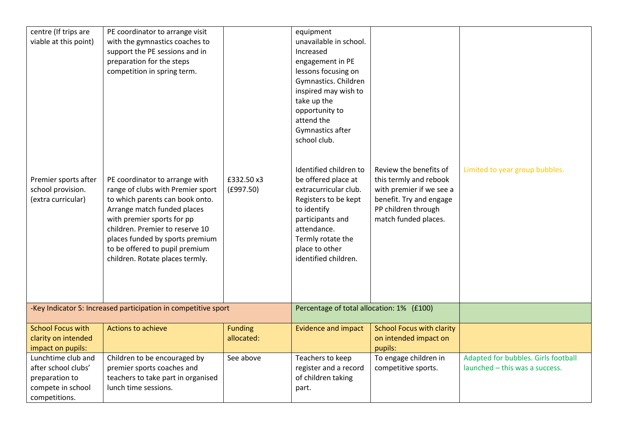| centre (If trips are<br>viable at this point)                                                     | PE coordinator to arrange visit<br>with the gymnastics coaches to<br>support the PE sessions and in<br>preparation for the steps<br>competition in spring term.                                                                                                                                                |                              | equipment<br>unavailable in school.<br>Increased<br>engagement in PE<br>lessons focusing on<br>Gymnastics. Children<br>inspired may wish to<br>take up the<br>opportunity to<br>attend the                                                          |                                                                                                                                                        |                                                                       |
|---------------------------------------------------------------------------------------------------|----------------------------------------------------------------------------------------------------------------------------------------------------------------------------------------------------------------------------------------------------------------------------------------------------------------|------------------------------|-----------------------------------------------------------------------------------------------------------------------------------------------------------------------------------------------------------------------------------------------------|--------------------------------------------------------------------------------------------------------------------------------------------------------|-----------------------------------------------------------------------|
| Premier sports after<br>school provision.<br>(extra curricular)                                   | PE coordinator to arrange with<br>range of clubs with Premier sport<br>to which parents can book onto.<br>Arrange match funded places<br>with premier sports for pp<br>children. Premier to reserve 10<br>places funded by sports premium<br>to be offered to pupil premium<br>children. Rotate places termly. | £332.50 x3<br>(E997.50)      | Gymnastics after<br>school club.<br>Identified children to<br>be offered place at<br>extracurricular club.<br>Registers to be kept<br>to identify<br>participants and<br>attendance.<br>Termly rotate the<br>place to other<br>identified children. | Review the benefits of<br>this termly and rebook<br>with premier if we see a<br>benefit. Try and engage<br>PP children through<br>match funded places. | Limited to year group bubbles.                                        |
|                                                                                                   | -Key Indicator 5: Increased participation in competitive sport                                                                                                                                                                                                                                                 |                              | Percentage of total allocation: 1% (£100)                                                                                                                                                                                                           |                                                                                                                                                        |                                                                       |
| <b>School Focus with</b><br>clarity on intended<br>impact on pupils:                              | Actions to achieve                                                                                                                                                                                                                                                                                             | <b>Funding</b><br>allocated: | <b>Evidence and impact</b>                                                                                                                                                                                                                          | <b>School Focus with clarity</b><br>on intended impact on<br>pupils:                                                                                   |                                                                       |
| Lunchtime club and<br>after school clubs'<br>preparation to<br>compete in school<br>competitions. | Children to be encouraged by<br>premier sports coaches and<br>teachers to take part in organised<br>lunch time sessions.                                                                                                                                                                                       | See above                    | Teachers to keep<br>register and a record<br>of children taking<br>part.                                                                                                                                                                            | To engage children in<br>competitive sports.                                                                                                           | Adapted for bubbles. Girls football<br>launched - this was a success. |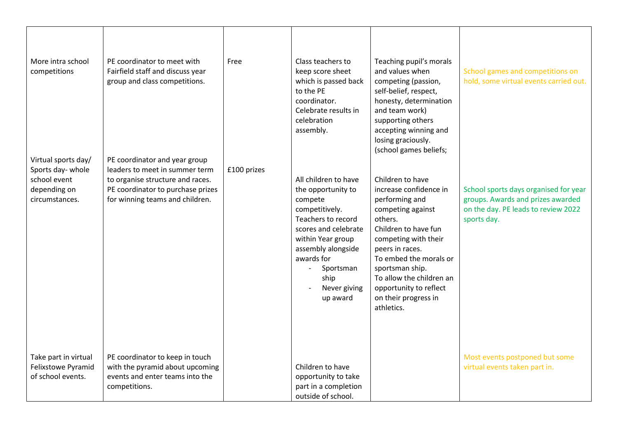| More intra school<br>competitions                                                         | PE coordinator to meet with<br>Fairfield staff and discuss year<br>group and class competitions.                                                                            | Free        | Class teachers to<br>keep score sheet<br>which is passed back<br>to the PE<br>coordinator.<br>Celebrate results in<br>celebration<br>assembly.                                                                                  | Teaching pupil's morals<br>and values when<br>competing (passion,<br>self-belief, respect,<br>honesty, determination<br>and team work)<br>supporting others<br>accepting winning and<br>losing graciously.<br>(school games beliefs;                                                                     | School games and competitions on<br>hold, some virtual events carried out.                                                       |
|-------------------------------------------------------------------------------------------|-----------------------------------------------------------------------------------------------------------------------------------------------------------------------------|-------------|---------------------------------------------------------------------------------------------------------------------------------------------------------------------------------------------------------------------------------|----------------------------------------------------------------------------------------------------------------------------------------------------------------------------------------------------------------------------------------------------------------------------------------------------------|----------------------------------------------------------------------------------------------------------------------------------|
| Virtual sports day/<br>Sports day-whole<br>school event<br>depending on<br>circumstances. | PE coordinator and year group<br>leaders to meet in summer term<br>to organise structure and races.<br>PE coordinator to purchase prizes<br>for winning teams and children. | £100 prizes | All children to have<br>the opportunity to<br>compete<br>competitively.<br>Teachers to record<br>scores and celebrate<br>within Year group<br>assembly alongside<br>awards for<br>Sportsman<br>ship<br>Never giving<br>up award | Children to have<br>increase confidence in<br>performing and<br>competing against<br>others.<br>Children to have fun<br>competing with their<br>peers in races.<br>To embed the morals or<br>sportsman ship.<br>To allow the children an<br>opportunity to reflect<br>on their progress in<br>athletics. | School sports days organised for year<br>groups. Awards and prizes awarded<br>on the day. PE leads to review 2022<br>sports day. |
| Take part in virtual<br>Felixstowe Pyramid<br>of school events.                           | PE coordinator to keep in touch<br>with the pyramid about upcoming<br>events and enter teams into the<br>competitions.                                                      |             | Children to have<br>opportunity to take<br>part in a completion<br>outside of school.                                                                                                                                           |                                                                                                                                                                                                                                                                                                          | Most events postponed but some<br>virtual events taken part in.                                                                  |